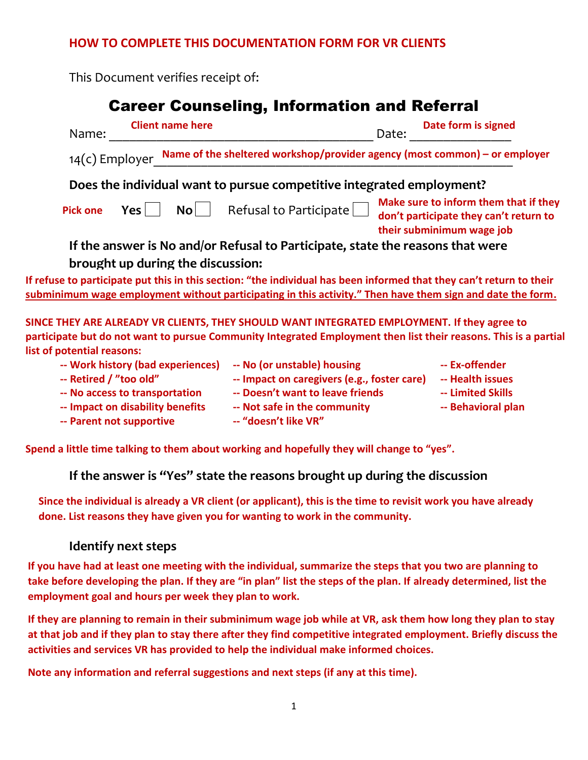## **HOW TO COMPLETE THIS DOCUMENTATION FORM FOR VR CLIENTS**

This Document verifies receipt of:

# Career Counseling, Information and Referral

| <b>Client name here</b><br>Name:                                                                                                                                                                                                   | Date form is signed<br>Date:                                                                                 |
|------------------------------------------------------------------------------------------------------------------------------------------------------------------------------------------------------------------------------------|--------------------------------------------------------------------------------------------------------------|
| $14(c)$ Employer                                                                                                                                                                                                                   | Name of the sheltered workshop/provider agency (most common) - or employer                                   |
| Does the individual want to pursue competitive integrated employment?                                                                                                                                                              |                                                                                                              |
| Refusal to Participate<br>No <sub>1</sub><br><b>Yes</b><br><b>Pick one</b>                                                                                                                                                         | Make sure to inform them that if they<br>don't participate they can't return to<br>their subminimum wage job |
| If the answer is No and/or Refusal to Participate, state the reasons that were                                                                                                                                                     |                                                                                                              |
| brought up during the discussion:                                                                                                                                                                                                  |                                                                                                              |
| If refuse to participate put this in this section: "the individual has been informed that they can't return to their<br>subminimum wage employment without participating in this activity." Then have them sign and date the form. |                                                                                                              |
| SINCE THEY ARE ALREADY VR CLIENTS. THEY SHOULD WANT INTEGRATED EMPLOYMENT. If they agree to                                                                                                                                        |                                                                                                              |

**SINCE THEY ARE ALREADY VR CLIENTS, THEY SHOULD WANT INTEGRATED EMPLOYMENT. If they agree to participate but do not want to pursue Community Integrated Employment then list their reasons. This is a partial list of potential reasons:**

| -- Work history (bad experiences) | -- No (or unstable) housing                 | -- Ex-offender     |
|-----------------------------------|---------------------------------------------|--------------------|
| -- Retired / "too old"            | -- Impact on caregivers (e.g., foster care) | -- Health issues   |
| -- No access to transportation    | -- Doesn't want to leave friends            | -- Limited Skills  |
| -- Impact on disability benefits  | -- Not safe in the community                | -- Behavioral plan |
| -- Parent not supportive          | -- "doesn't like VR"                        |                    |

**Spend a little time talking to them about working and hopefully they will change to "yes".**

**If the answer is "Yes" state the reasons brought up during the discussion**

**Since the individual is already a VR client (or applicant), this is the time to revisit work you have already done. List reasons they have given you for wanting to work in the community.** 

## **Identify next steps**

**If you have had at least one meeting with the individual, summarize the steps that you two are planning to**  take before developing the plan. If they are "in plan" list the steps of the plan. If already determined, list the **employment goal and hours per week they plan to work.** 

**If they are planning to remain in their subminimum wage job while at VR, ask them how long they plan to stay at that job and if they plan to stay there after they find competitive integrated employment. Briefly discuss the activities and services VR has provided to help the individual make informed choices.**

Note any information and referral suggestions and next steps (if any at this time).